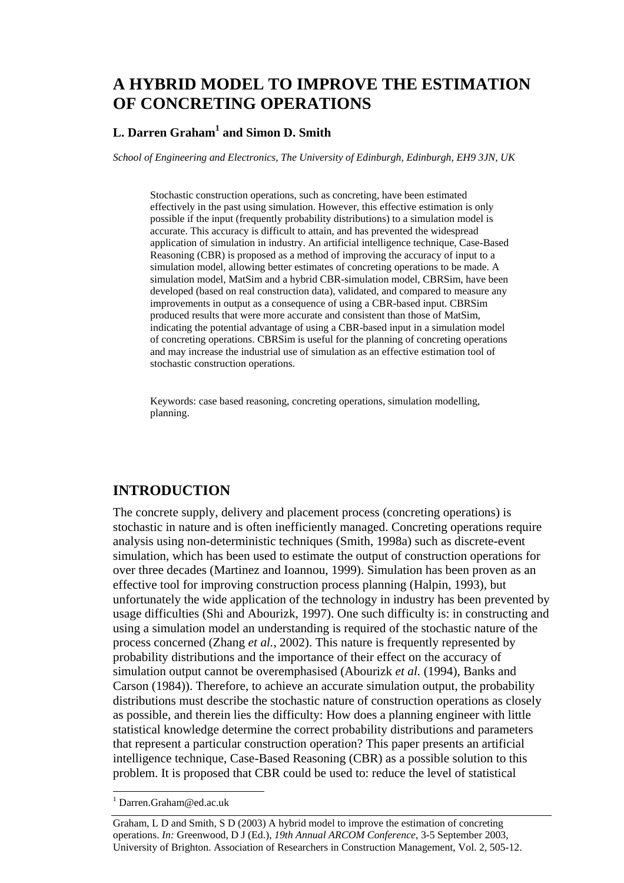# **A HYBRID MODEL TO IMPROVE THE ESTIMATION OF CONCRETING OPERATIONS**

### **L. Darren Graham1 and Simon D. Smith**

*School of Engineering and Electronics, The University of Edinburgh, Edinburgh, EH9 3JN, UK* 

Stochastic construction operations, such as concreting, have been estimated effectively in the past using simulation. However, this effective estimation is only possible if the input (frequently probability distributions) to a simulation model is accurate. This accuracy is difficult to attain, and has prevented the widespread application of simulation in industry. An artificial intelligence technique, Case-Based Reasoning (CBR) is proposed as a method of improving the accuracy of input to a simulation model, allowing better estimates of concreting operations to be made. A simulation model, MatSim and a hybrid CBR-simulation model, CBRSim, have been developed (based on real construction data), validated, and compared to measure any improvements in output as a consequence of using a CBR-based input. CBRSim produced results that were more accurate and consistent than those of MatSim, indicating the potential advantage of using a CBR-based input in a simulation model of concreting operations. CBRSim is useful for the planning of concreting operations and may increase the industrial use of simulation as an effective estimation tool of stochastic construction operations.

Keywords: case based reasoning, concreting operations, simulation modelling, planning.

## **INTRODUCTION**

The concrete supply, delivery and placement process (concreting operations) is stochastic in nature and is often inefficiently managed. Concreting operations require analysis using non-deterministic techniques (Smith, 1998a) such as discrete-event simulation, which has been used to estimate the output of construction operations for over three decades (Martinez and Ioannou, 1999). Simulation has been proven as an effective tool for improving construction process planning (Halpin, 1993), but unfortunately the wide application of the technology in industry has been prevented by usage difficulties (Shi and Abourizk, 1997). One such difficulty is: in constructing and using a simulation model an understanding is required of the stochastic nature of the process concerned (Zhang *et al.*, 2002). This nature is frequently represented by probability distributions and the importance of their effect on the accuracy of simulation output cannot be overemphasised (Abourizk *et al.* (1994), Banks and Carson (1984)). Therefore, to achieve an accurate simulation output, the probability distributions must describe the stochastic nature of construction operations as closely as possible, and therein lies the difficulty: How does a planning engineer with little statistical knowledge determine the correct probability distributions and parameters that represent a particular construction operation? This paper presents an artificial intelligence technique, Case-Based Reasoning (CBR) as a possible solution to this problem. It is proposed that CBR could be used to: reduce the level of statistical

l

<sup>1</sup> Darren.Graham@ed.ac.uk

Graham, L D and Smith, S D (2003) A hybrid model to improve the estimation of concreting operations. *In:* Greenwood, D J (Ed.), *19th Annual ARCOM Conference*, 3-5 September 2003, University of Brighton. Association of Researchers in Construction Management, Vol. 2, 505-12.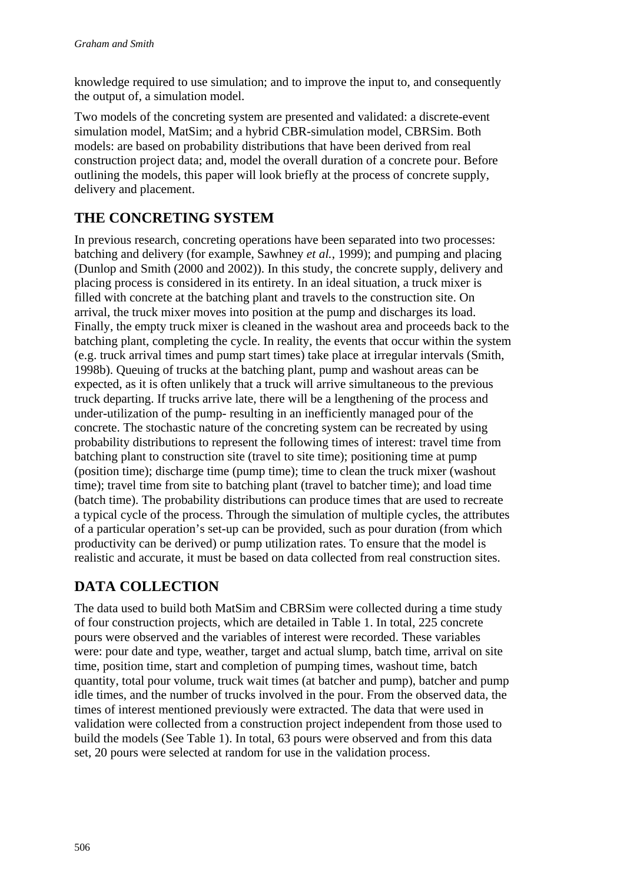knowledge required to use simulation; and to improve the input to, and consequently the output of, a simulation model.

Two models of the concreting system are presented and validated: a discrete-event simulation model, MatSim; and a hybrid CBR-simulation model, CBRSim. Both models: are based on probability distributions that have been derived from real construction project data; and, model the overall duration of a concrete pour. Before outlining the models, this paper will look briefly at the process of concrete supply, delivery and placement.

# **THE CONCRETING SYSTEM**

In previous research, concreting operations have been separated into two processes: batching and delivery (for example, Sawhney *et al.*, 1999); and pumping and placing (Dunlop and Smith (2000 and 2002)). In this study, the concrete supply, delivery and placing process is considered in its entirety. In an ideal situation, a truck mixer is filled with concrete at the batching plant and travels to the construction site. On arrival, the truck mixer moves into position at the pump and discharges its load. Finally, the empty truck mixer is cleaned in the washout area and proceeds back to the batching plant, completing the cycle. In reality, the events that occur within the system (e.g. truck arrival times and pump start times) take place at irregular intervals (Smith, 1998b). Queuing of trucks at the batching plant, pump and washout areas can be expected, as it is often unlikely that a truck will arrive simultaneous to the previous truck departing. If trucks arrive late, there will be a lengthening of the process and under-utilization of the pump- resulting in an inefficiently managed pour of the concrete. The stochastic nature of the concreting system can be recreated by using probability distributions to represent the following times of interest: travel time from batching plant to construction site (travel to site time); positioning time at pump (position time); discharge time (pump time); time to clean the truck mixer (washout time); travel time from site to batching plant (travel to batcher time); and load time (batch time). The probability distributions can produce times that are used to recreate a typical cycle of the process. Through the simulation of multiple cycles, the attributes of a particular operation's set-up can be provided, such as pour duration (from which productivity can be derived) or pump utilization rates. To ensure that the model is realistic and accurate, it must be based on data collected from real construction sites.

# **DATA COLLECTION**

The data used to build both MatSim and CBRSim were collected during a time study of four construction projects, which are detailed in Table 1. In total, 225 concrete pours were observed and the variables of interest were recorded. These variables were: pour date and type, weather, target and actual slump, batch time, arrival on site time, position time, start and completion of pumping times, washout time, batch quantity, total pour volume, truck wait times (at batcher and pump), batcher and pump idle times, and the number of trucks involved in the pour. From the observed data, the times of interest mentioned previously were extracted. The data that were used in validation were collected from a construction project independent from those used to build the models (See Table 1). In total, 63 pours were observed and from this data set, 20 pours were selected at random for use in the validation process.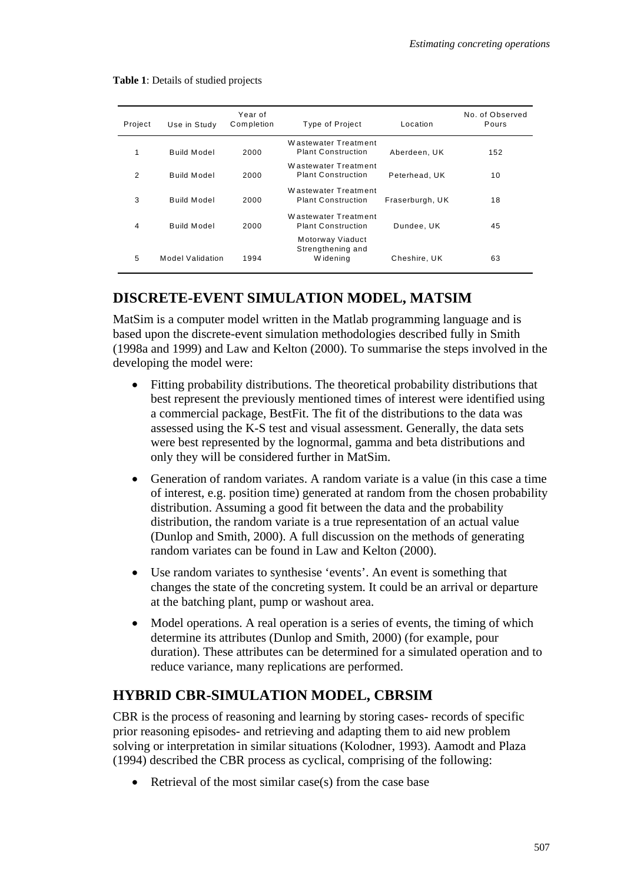| Project        | Use in Study       | Year of<br>Completion | Type of Project                                   | Location        | No. of Observed<br>Pours |
|----------------|--------------------|-----------------------|---------------------------------------------------|-----------------|--------------------------|
| 1              | Build Model        | 2000                  | Wastewater Treatment<br><b>Plant Construction</b> | Aberdeen, UK    | 152                      |
| $\overline{2}$ | Build Model        | 2000                  | Wastewater Treatment<br><b>Plant Construction</b> | Peterhead, UK   | 10                       |
| 3              | <b>Build Model</b> | 2000                  | Wastewater Treatment<br><b>Plant Construction</b> | Fraserburgh, UK | 18                       |
| 4              | <b>Build Model</b> | 2000                  | Wastewater Treatment<br><b>Plant Construction</b> | Dundee, UK      | 45                       |
| 5              | Model Validation   | 1994                  | Motorway Viaduct<br>Strengthening and<br>Widening | Cheshire, UK    | 63                       |

**Table 1**: Details of studied projects

## **DISCRETE-EVENT SIMULATION MODEL, MATSIM**

MatSim is a computer model written in the Matlab programming language and is based upon the discrete-event simulation methodologies described fully in Smith (1998a and 1999) and Law and Kelton (2000). To summarise the steps involved in the developing the model were:

- Fitting probability distributions. The theoretical probability distributions that best represent the previously mentioned times of interest were identified using a commercial package, BestFit. The fit of the distributions to the data was assessed using the K-S test and visual assessment. Generally, the data sets were best represented by the lognormal, gamma and beta distributions and only they will be considered further in MatSim.
- Generation of random variates. A random variate is a value (in this case a time of interest, e.g. position time) generated at random from the chosen probability distribution. Assuming a good fit between the data and the probability distribution, the random variate is a true representation of an actual value (Dunlop and Smith, 2000). A full discussion on the methods of generating random variates can be found in Law and Kelton (2000).
- Use random variates to synthesise 'events'. An event is something that changes the state of the concreting system. It could be an arrival or departure at the batching plant, pump or washout area.
- Model operations. A real operation is a series of events, the timing of which determine its attributes (Dunlop and Smith, 2000) (for example, pour duration). These attributes can be determined for a simulated operation and to reduce variance, many replications are performed.

## **HYBRID CBR-SIMULATION MODEL, CBRSIM**

CBR is the process of reasoning and learning by storing cases- records of specific prior reasoning episodes- and retrieving and adapting them to aid new problem solving or interpretation in similar situations (Kolodner, 1993). Aamodt and Plaza (1994) described the CBR process as cyclical, comprising of the following:

• Retrieval of the most similar case(s) from the case base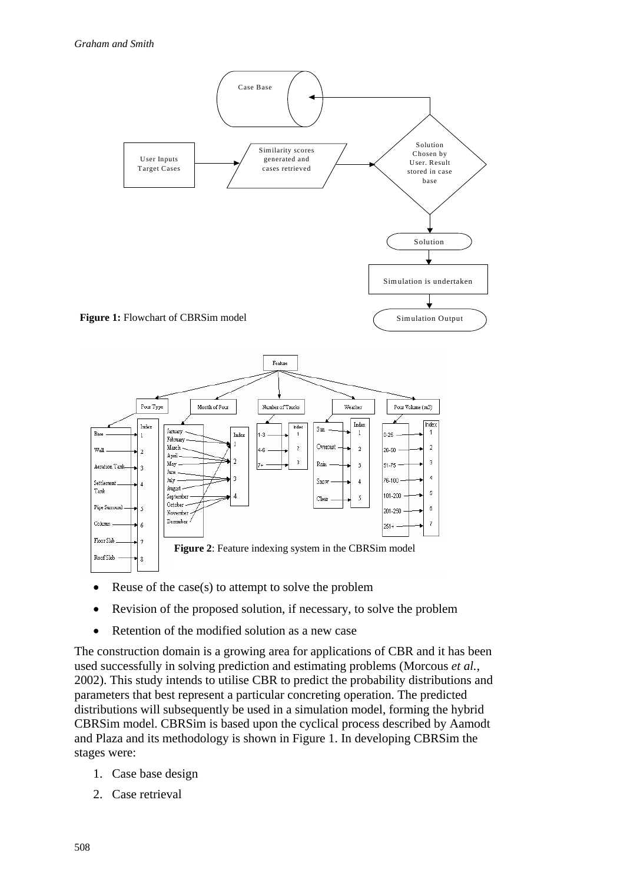

- Reuse of the case(s) to attempt to solve the problem
- Revision of the proposed solution, if necessary, to solve the problem
- Retention of the modified solution as a new case

The construction domain is a growing area for applications of CBR and it has been used successfully in solving prediction and estimating problems (Morcous *et al.*, 2002). This study intends to utilise CBR to predict the probability distributions and parameters that best represent a particular concreting operation. The predicted distributions will subsequently be used in a simulation model, forming the hybrid CBRSim model. CBRSim is based upon the cyclical process described by Aamodt and Plaza and its methodology is shown in Figure 1. In developing CBRSim the stages were:

- 1. Case base design
- 2. Case retrieval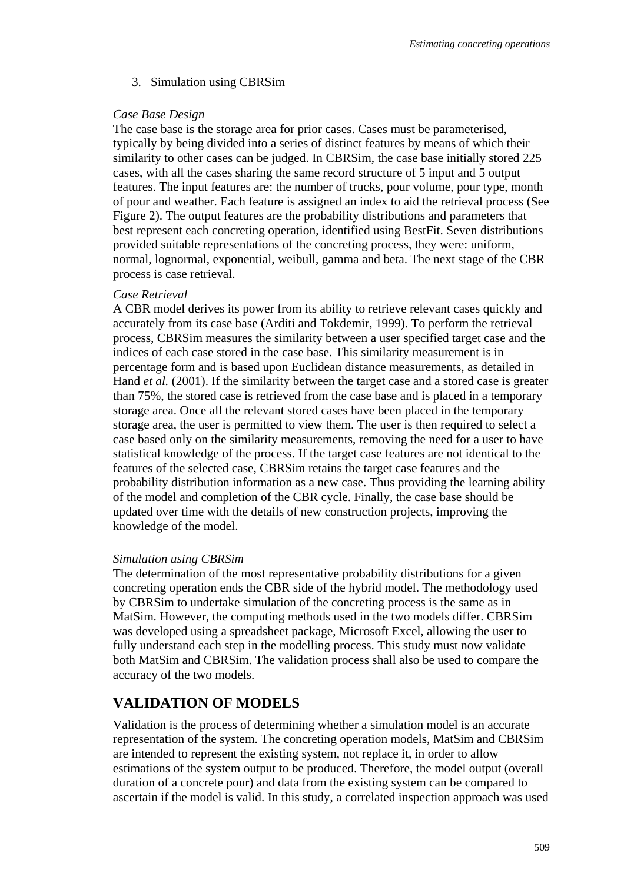#### 3. Simulation using CBRSim

#### *Case Base Design*

The case base is the storage area for prior cases. Cases must be parameterised, typically by being divided into a series of distinct features by means of which their similarity to other cases can be judged. In CBRSim, the case base initially stored 225 cases, with all the cases sharing the same record structure of 5 input and 5 output features. The input features are: the number of trucks, pour volume, pour type, month of pour and weather. Each feature is assigned an index to aid the retrieval process (See Figure 2). The output features are the probability distributions and parameters that best represent each concreting operation, identified using BestFit. Seven distributions provided suitable representations of the concreting process, they were: uniform, normal, lognormal, exponential, weibull, gamma and beta. The next stage of the CBR process is case retrieval.

#### *Case Retrieval*

A CBR model derives its power from its ability to retrieve relevant cases quickly and accurately from its case base (Arditi and Tokdemir, 1999). To perform the retrieval process, CBRSim measures the similarity between a user specified target case and the indices of each case stored in the case base. This similarity measurement is in percentage form and is based upon Euclidean distance measurements, as detailed in Hand *et al.* (2001). If the similarity between the target case and a stored case is greater than 75%, the stored case is retrieved from the case base and is placed in a temporary storage area. Once all the relevant stored cases have been placed in the temporary storage area, the user is permitted to view them. The user is then required to select a case based only on the similarity measurements, removing the need for a user to have statistical knowledge of the process. If the target case features are not identical to the features of the selected case, CBRSim retains the target case features and the probability distribution information as a new case. Thus providing the learning ability of the model and completion of the CBR cycle. Finally, the case base should be updated over time with the details of new construction projects, improving the knowledge of the model.

#### *Simulation using CBRSim*

The determination of the most representative probability distributions for a given concreting operation ends the CBR side of the hybrid model. The methodology used by CBRSim to undertake simulation of the concreting process is the same as in MatSim. However, the computing methods used in the two models differ. CBRSim was developed using a spreadsheet package, Microsoft Excel, allowing the user to fully understand each step in the modelling process. This study must now validate both MatSim and CBRSim. The validation process shall also be used to compare the accuracy of the two models.

### **VALIDATION OF MODELS**

Validation is the process of determining whether a simulation model is an accurate representation of the system. The concreting operation models, MatSim and CBRSim are intended to represent the existing system, not replace it, in order to allow estimations of the system output to be produced. Therefore, the model output (overall duration of a concrete pour) and data from the existing system can be compared to ascertain if the model is valid. In this study, a correlated inspection approach was used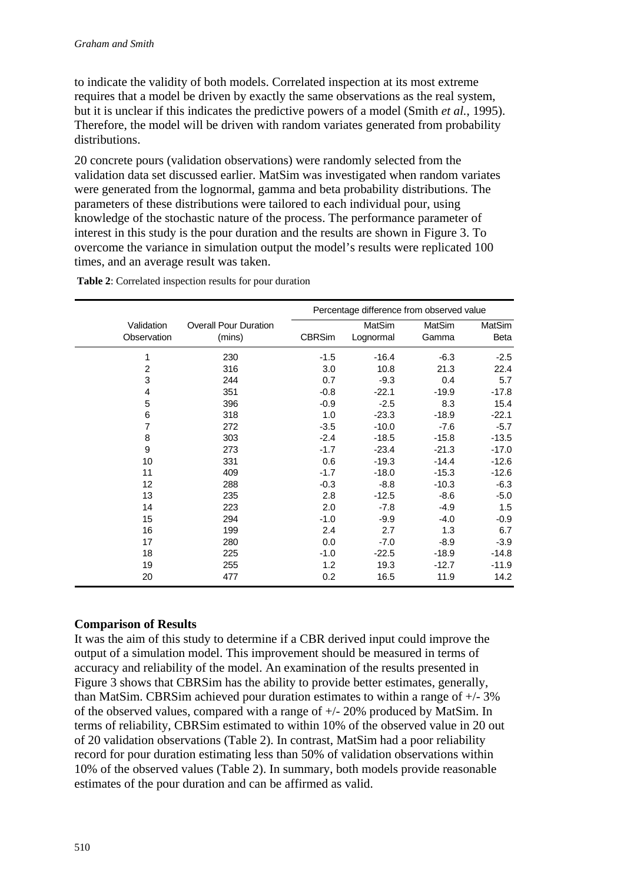to indicate the validity of both models. Correlated inspection at its most extreme requires that a model be driven by exactly the same observations as the real system, but it is unclear if this indicates the predictive powers of a model (Smith *et al.*, 1995). Therefore, the model will be driven with random variates generated from probability distributions.

20 concrete pours (validation observations) were randomly selected from the validation data set discussed earlier. MatSim was investigated when random variates were generated from the lognormal, gamma and beta probability distributions. The parameters of these distributions were tailored to each individual pour, using knowledge of the stochastic nature of the process. The performance parameter of interest in this study is the pour duration and the results are shown in Figure 3. To overcome the variance in simulation output the model's results were replicated 100 times, and an average result was taken.

|                |                              | Percentage difference from observed value |           |         |         |
|----------------|------------------------------|-------------------------------------------|-----------|---------|---------|
| Validation     | <b>Overall Pour Duration</b> |                                           | MatSim    | MatSim  | MatSim  |
| Observation    | (mins)                       | <b>CBRSim</b>                             | Lognormal | Gamma   | Beta    |
| 1              | 230                          | $-1.5$                                    | $-16.4$   | $-6.3$  | $-2.5$  |
| $\overline{c}$ | 316                          | 3.0                                       | 10.8      | 21.3    | 22.4    |
| 3              | 244                          | 0.7                                       | $-9.3$    | 0.4     | 5.7     |
| 4              | 351                          | $-0.8$                                    | $-22.1$   | $-19.9$ | $-17.8$ |
| 5              | 396                          | $-0.9$                                    | $-2.5$    | 8.3     | 15.4    |
| 6              | 318                          | 1.0                                       | $-23.3$   | $-18.9$ | $-22.1$ |
| 7              | 272                          | $-3.5$                                    | $-10.0$   | $-7.6$  | $-5.7$  |
| 8              | 303                          | $-2.4$                                    | $-18.5$   | $-15.8$ | $-13.5$ |
| 9              | 273                          | $-1.7$                                    | $-23.4$   | $-21.3$ | $-17.0$ |
| 10             | 331                          | 0.6                                       | $-19.3$   | $-14.4$ | $-12.6$ |
| 11             | 409                          | $-1.7$                                    | $-18.0$   | $-15.3$ | $-12.6$ |
| 12             | 288                          | $-0.3$                                    | $-8.8$    | $-10.3$ | $-6.3$  |
| 13             | 235                          | 2.8                                       | $-12.5$   | $-8.6$  | $-5.0$  |
| 14             | 223                          | 2.0                                       | $-7.8$    | $-4.9$  | 1.5     |
| 15             | 294                          | $-1.0$                                    | $-9.9$    | $-4.0$  | $-0.9$  |
| 16             | 199                          | 2.4                                       | 2.7       | 1.3     | 6.7     |
| 17             | 280                          | 0.0                                       | $-7.0$    | $-8.9$  | $-3.9$  |
| 18             | 225                          | $-1.0$                                    | $-22.5$   | $-18.9$ | $-14.8$ |
| 19             | 255                          | 1.2                                       | 19.3      | $-12.7$ | $-11.9$ |
| 20             | 477                          | 0.2                                       | 16.5      | 11.9    | 14.2    |

 **Table 2**: Correlated inspection results for pour duration

### **Comparison of Results**

It was the aim of this study to determine if a CBR derived input could improve the output of a simulation model. This improvement should be measured in terms of accuracy and reliability of the model. An examination of the results presented in Figure 3 shows that CBRSim has the ability to provide better estimates, generally, than MatSim. CBRSim achieved pour duration estimates to within a range of +/- 3% of the observed values, compared with a range of +/- 20% produced by MatSim. In terms of reliability, CBRSim estimated to within 10% of the observed value in 20 out of 20 validation observations (Table 2). In contrast, MatSim had a poor reliability record for pour duration estimating less than 50% of validation observations within 10% of the observed values (Table 2). In summary, both models provide reasonable estimates of the pour duration and can be affirmed as valid.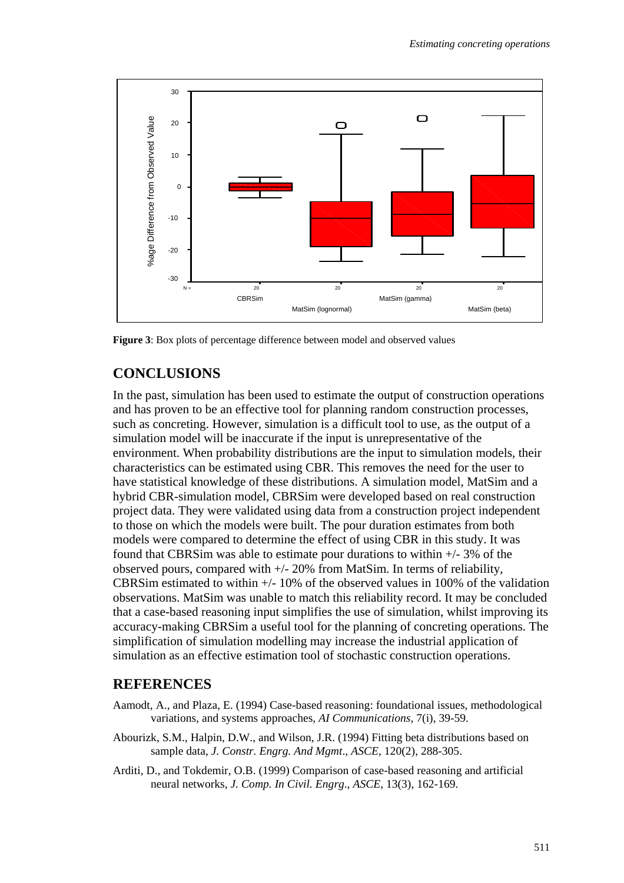

**Figure 3**: Box plots of percentage difference between model and observed values

## **CONCLUSIONS**

In the past, simulation has been used to estimate the output of construction operations and has proven to be an effective tool for planning random construction processes, such as concreting. However, simulation is a difficult tool to use, as the output of a simulation model will be inaccurate if the input is unrepresentative of the environment. When probability distributions are the input to simulation models, their characteristics can be estimated using CBR. This removes the need for the user to have statistical knowledge of these distributions. A simulation model, MatSim and a hybrid CBR-simulation model, CBRSim were developed based on real construction project data. They were validated using data from a construction project independent to those on which the models were built. The pour duration estimates from both models were compared to determine the effect of using CBR in this study. It was found that CBRS im was able to estimate pour durations to within  $+/-3\%$  of the observed pours, compared with +/- 20% from MatSim. In terms of reliability, CBRSim estimated to within  $+/- 10\%$  of the observed values in 100% of the validation observations. MatSim was unable to match this reliability record. It may be concluded that a case-based reasoning input simplifies the use of simulation, whilst improving its accuracy-making CBRSim a useful tool for the planning of concreting operations. The simplification of simulation modelling may increase the industrial application of simulation as an effective estimation tool of stochastic construction operations.

## **REFERENCES**

- Aamodt, A., and Plaza, E. (1994) Case-based reasoning: foundational issues, methodological variations, and systems approaches, *AI Communications*, 7(i), 39-59.
- Abourizk, S.M., Halpin, D.W., and Wilson, J.R. (1994) Fitting beta distributions based on sample data, *J. Constr. Engrg. And Mgmt*., *ASCE*, 120(2), 288-305.
- Arditi, D., and Tokdemir, O.B. (1999) Comparison of case-based reasoning and artificial neural networks, *J. Comp. In Civil. Engrg*., *ASCE*, 13(3), 162-169.